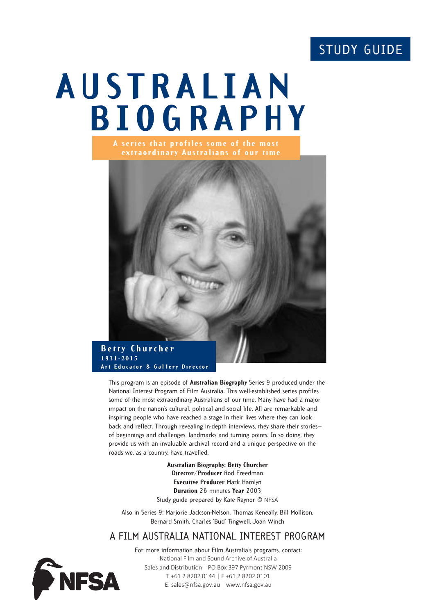# STUDY GUIDE

# **AUSTRALIAN BIOGRAPHY**



This program is an episode of **Australian Biography** Series 9 produced under the National Interest Program of Film Australia. This well-established series profiles some of the most extraordinary Australians of our time. Many have had a major impact on the nation's cultural, political and social life. All are remarkable and inspiring people who have reached a stage in their lives where they can look back and reflect. Through revealing in-depth interviews, they share their stories of beginnings and challenges, landmarks and turning points. In so doing, they provide us with an invaluable archival record and a unique perspective on the roads we, as a country, have travelled.

> **Australian Biography: Betty Churcher Director/Producer** Rod Freedman **Executive Producer** Mark Hamlyn **Duration** 26 minutes **Year** 2003 Study guide prepared by Kate Raynor © NFSA

Also in Series 9: Marjorie Jackson-Nelson, Thomas Keneally, Bill Mollison, Bernard Smith, Charles 'Bud' Tingwell, Joan Winch

## A FILM AUSTRALIA NATIONAL INTEREST PROGRAM



For more information about Film Australia's programs, contact: National Film and Sound Archive of Australia Sales and Distribution | PO Box 397 Pyrmont NSW 2009 T +61 2 8202 0144 | F +61 2 8202 0101 E: sales@nfsa.gov.au | www.nfsa.gov.au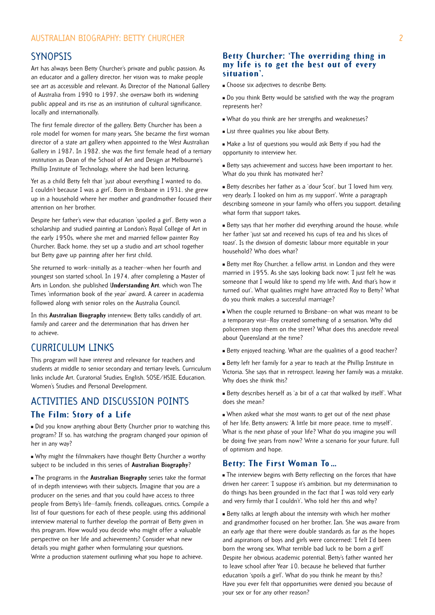#### **SYNOPSIS**

Art has always been Betty Churcher's private and public passion. As an educator and a gallery director, her vision was to make people see art as accessible and relevant. As Director of the National Gallery of Australia from 1990 to 1997, she oversaw both its widening public appeal and its rise as an institution of cultural significance, locally and internationally.

The first female director of the gallery, Betty Churcher has been a role model for women for many years. She became the first woman director of a state art gallery when appointed to the West Australian Gallery in 1987. In 1982, she was the first female head of a tertiary institution as Dean of the School of Art and Design at Melbourne's Phillip Institute of Technology, where she had been lecturing.

Yet as a child Betty felt that 'just about everything I wanted to do, I couldn't because I was a girl'. Born in Brisbane in 1931, she grew up in a household where her mother and grandmother focused their attention on her brother.

Despite her father's view that education 'spoiled a girl', Betty won a scholarship and studied painting at London's Royal College of Art in the early 1950s, where she met and married fellow painter Roy Churcher. Back home, they set up a studio and art school together but Betty gave up painting after her first child.

She returned to work—initially as a teacher—when her fourth and youngest son started school. In 1974, after completing a Master of Arts in London, she published **Understanding Art**, which won The Times 'information book of the year' award. A career in academia followed along with senior roles on the Australia Council.

In this **Australian Biography** interview, Betty talks candidly of art, family and career and the determination that has driven her to achieve.

### CURRICULUM LINKS

This program will have interest and relevance for teachers and students at middle to senior secondary and tertiary levels. Curriculum links include Art, Curatorial Studies, English, SOSE/HSIE, Education, Women's Studies and Personal Development.

# ACTIVITIES AND DISCUSSION POINTS **The Film: Story of a Life**

Did you know anything about Betty Churcher prior to watching this program? If so, has watching the program changed your opinion of her in any way?

 Why might the filmmakers have thought Betty Churcher a worthy subject to be included in this series of **Australian Biography**?

 The programs in the **Australian Biography** series take the format of in-depth interviews with their subjects. Imagine that you are a producer on the series and that you could have access to three people from Betty's life—family, friends, colleagues, critics. Compile a list of four questions for each of these people, using this additional interview material to further develop the portrait of Betty given in this program. How would you decide who might offer a valuable perspective on her life and achievements? Consider what new details you might gather when formulating your questions. Write a production statement outlining what you hope to achieve.

#### **Betty Churcher: 'The overriding thing in my life is to get the best out of every situation'.**

Choose six adjectives to describe Betty.

 Do you think Betty would be satisfied with the way the program represents her?

- What do you think are her strengths and weaknesses?
- **List three qualities you like about Betty.**

 Make a list of questions you would ask Betty if you had the opportunity to interview her.

 Betty says achievement and success have been important to her. What do you think has motivated her?

 Betty describes her father as a 'dour Scot', but 'I loved him very, very dearly. I looked on him as my support'. Write a paragraph describing someone in your family who offers you support, detailing what form that support takes.

 Betty says that her mother did everything around the house, while her father 'just sat and received his cups of tea and his slices of toast'. Is the division of domestic labour more equitable in your household? Who does what?

 Betty met Roy Churcher, a fellow artist, in London and they were married in 1955. As she says looking back now: 'I just felt he was someone that I would like to spend my life with. And that's how it turned out'. What qualities might have attracted Roy to Betty? What do you think makes a successful marriage?

 When the couple returned to Brisbane—on what was meant to be a temporary visit—Roy created something of a sensation. Why did policemen stop them on the street? What does this anecdote reveal about Queensland at the time?

Betty enjoyed teaching. What are the qualities of a good teacher?

 Betty left her family for a year to teach at the Phillip Institute in Victoria. She says that in retrospect, leaving her family was a mistake. Why does she think this?

 Betty describes herself as 'a bit of a cat that walked by itself'. What does she mean?

 When asked what she most wants to get out of the next phase of her life, Betty answers: 'A little bit more peace, time to myself'. What is the next phase of your life? What do you imagine you will be doing five years from now? Write a scenario for your future, full of optimism and hope.

#### **Betty: The First Woman To …**

 The interview begins with Betty reflecting on the forces that have driven her career: 'I suppose it's ambition, but my determination to do things has been grounded in the fact that I was told very early and very firmly that I couldn't'. Who told her this and why?

 Betty talks at length about the intensity with which her mother and grandmother focused on her brother, Ian. She was aware from an early age that there were double standards as far as the hopes and aspirations of boys and girls were concerned: 'I felt I'd been born the wrong sex. What terrible bad luck to be born a girl!' Despite her obvious academic potential, Betty's father wanted her to leave school after Year 10, because he believed that further education 'spoils a girl'. What do you think he meant by this? Have you ever felt that opportunities were denied you because of your sex or for any other reason?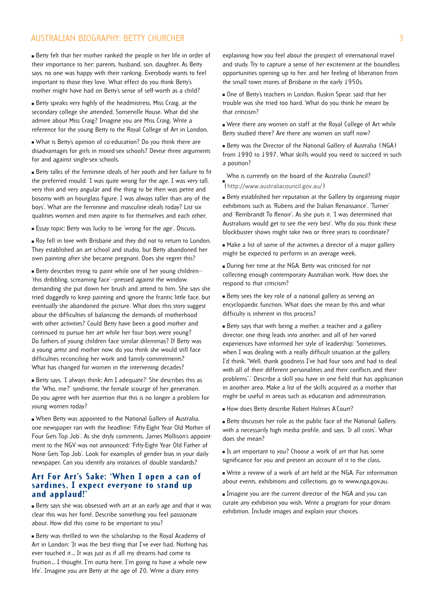#### AUSTRALIAN BIOGRAPHY: BETTY CHURCHER 3

 Betty felt that her mother ranked the people in her life in order of their importance to her: parents, husband, son, daughter. As Betty says, no one was happy with their ranking. Everybody wants to feel important to those they love. What effect do you think Betty's mother might have had on Betty's sense of self-worth as a child?

Betty speaks very highly of the headmistress, Miss Craig, at the secondary college she attended, Somerville House. What did she admire about Miss Craig? Imagine you are Miss Craig. Write a reference for the young Betty to the Royal College of Art in London.

 What is Betty's opinion of co-education? Do you think there are disadvantages for girls in mixed-sex schools? Devise three arguments for and against single-sex schools.

 Betty talks of the feminine ideals of her youth and her failure to fit the preferred mould: 'I was quite wrong for the age. I was very tall, very thin and very angular and the thing to be then was petite and bosomy with an hourglass figure. I was always taller than any of the boys'. What are the feminine and masculine ideals today? List six qualities women and men aspire to for themselves and each other.

Essay topic: Betty was lucky to be 'wrong for the age'. Discuss.

 Roy fell in love with Brisbane and they did not to return to London. They established an art school and studio, but Betty abandoned her own painting after she became pregnant. Does she regret this?

 Betty describes trying to paint while one of her young children— 'this dribbling, screaming face'—pressed against the window, demanding she put down her brush and attend to him. She says she tried doggedly to keep painting and ignore the frantic little face, but eventually she abandoned the picture. What does this story suggest about the difficulties of balancing the demands of motherhood with other activities? Could Betty have been a good mother and continued to pursue her art while her four boys were young? Do fathers of young children face similar dilemmas? If Betty was a young artist and mother now, do you think she would still face difficulties reconciling her work and family commitments? What has changed for women in the intervening decades?

 Betty says, 'I always think: Am I adequate?' She describes this as the 'Who, me?' syndrome, the female scourge of her generation. Do you agree with her assertion that this is no longer a problem for young women today?

 When Betty was appointed to the National Gallery of Australia, one newspaper ran with the headline: 'Fifty-Eight Year Old Mother of Four Gets Top Job'. As she dryly comments, James Mollison's appointment to the NGV was not announced: 'Fifty-Eight Year Old Father of None Gets Top Job'. Look for examples of gender bias in your daily newspaper. Can you identify any instances of double standards?

#### **Art For Art's Sake: 'When I open a can of sardines, I expect everyone to stand up and applaud!'**

 Betty says she was obsessed with art at an early age and that it was clear this was her forté. Describe something you feel passionate about. How did this come to be important to you?

 Betty was thrilled to win the scholarship to the Royal Academy of Art in London: 'It was the best thing that I've ever had. Nothing has ever touched it… It was just as if all my dreams had come to fruition… I thought, I'm outta here. I'm going to have a whole new life'. Imagine you are Betty at the age of 20. Write a diary entry

explaining how you feel about the prospect of international travel and study. Try to capture a sense of her excitement at the boundless opportunities opening up to her, and her feeling of liberation from the small town mores of Brisbane in the early 1950s.

 One of Betty's teachers in London, Ruskin Spear, said that her trouble was she tried too hard. What do you think he meant by that criticism?

 Were there any women on staff at the Royal College of Art while Betty studied there? Are there any women on staff now?

 Betty was the Director of the National Gallery of Australia (NGA) from 1990 to 1997. What skills would you need to succeed in such a position?

Who is currently on the board of the Australia Council?

(http://www.australiacouncil.gov.au/)

 Betty established her reputation at the Gallery by organising major exhibitions such as 'Rubens and the Italian Renaissance', 'Turner' and 'Rembrandt To Renoir'. As she puts it, 'I was determined that Australians would get to see the very best'. Why do you think these blockbuster shows might take two or three years to coordinate?

 Make a list of some of the activities a director of a major gallery might be expected to perform in an average week.

 During her time at the NGA, Betty was criticised for not collecting enough contemporary Australian work. How does she respond to that criticism?

 Betty sees the key role of a national gallery as serving an encyclopaedic function. What does she mean by this and what difficulty is inherent in this process?

 Betty says that with being a mother, a teacher and a gallery director, one thing leads into another, and all of her varied experiences have informed her style of leadership: 'Sometimes, when I was dealing with a really difficult situation at the gallery, I'd think, "Well, thank goodness I've had four sons and had to deal with all of their different personalities and their conflicts and their problems".' Describe a skill you have in one field that has application in another area. Make a list of the skills acquired as a mother that might be useful in areas such as education and administration.

How does Betty describe Robert Holmes A'Court?

 Betty discusses her role as the public face of the National Gallery, with a necessarily high media profile, and says, 'It all costs'. What does she mean?

 Is art important to you? Choose a work of art that has some significance for you and present an account of it to the class.

■ Write a review of a work of art held at the NGA. For information about events, exhibitions and collections, go to www.nga.gov.au.

 Imagine you are the current director of the NGA and you can curate any exhibition you wish. Write a program for your dream exhibition. Include images and explain your choices.